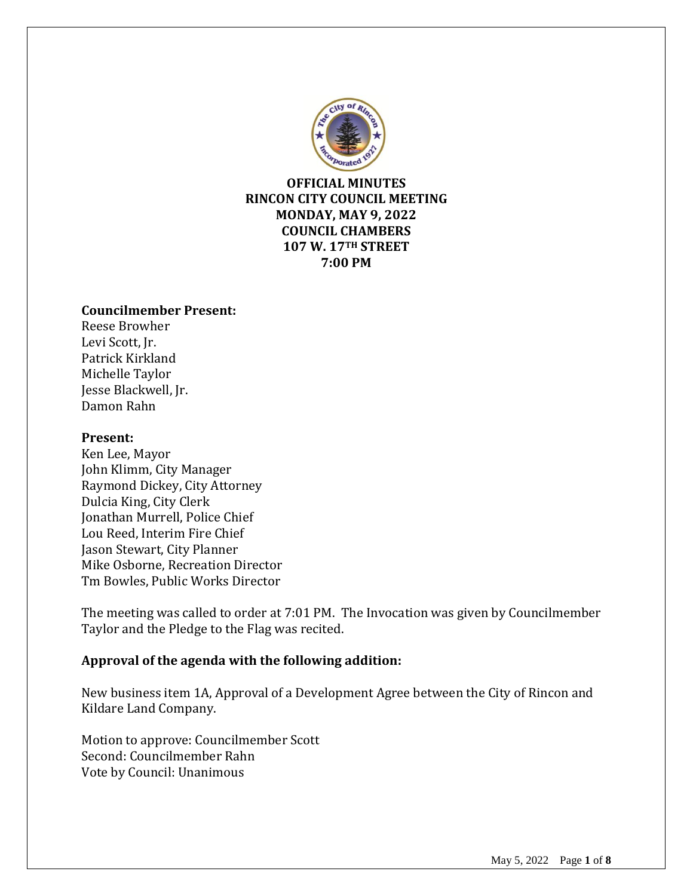

**OFFICIAL MINUTES RINCON CITY COUNCIL MEETING MONDAY, MAY 9, 2022 COUNCIL CHAMBERS 107 W. 17TH STREET 7:00 PM**

#### **Councilmember Present:**

Reese Browher Levi Scott, Jr. Patrick Kirkland Michelle Taylor Jesse Blackwell, Jr. Damon Rahn

#### **Present:**

Ken Lee, Mayor John Klimm, City Manager Raymond Dickey, City Attorney Dulcia King, City Clerk Jonathan Murrell, Police Chief Lou Reed, Interim Fire Chief Jason Stewart, City Planner Mike Osborne, Recreation Director Tm Bowles, Public Works Director

The meeting was called to order at 7:01 PM. The Invocation was given by Councilmember Taylor and the Pledge to the Flag was recited.

# **Approval of the agenda with the following addition:**

New business item 1A, Approval of a Development Agree between the City of Rincon and Kildare Land Company.

Motion to approve: Councilmember Scott Second: Councilmember Rahn Vote by Council: Unanimous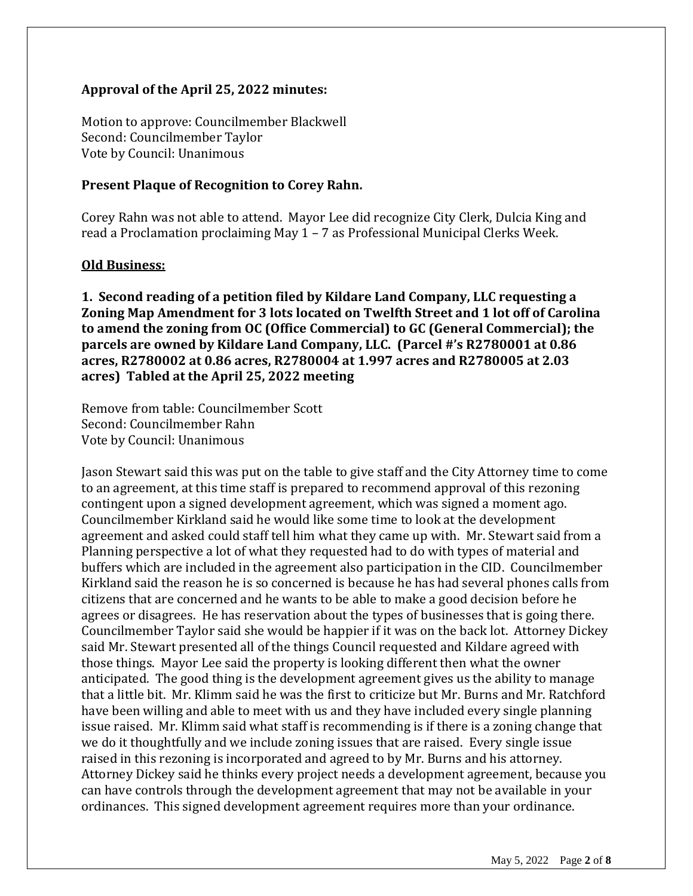#### **Approval of the April 25, 2022 minutes:**

Motion to approve: Councilmember Blackwell Second: Councilmember Taylor Vote by Council: Unanimous

#### **Present Plaque of Recognition to Corey Rahn.**

Corey Rahn was not able to attend. Mayor Lee did recognize City Clerk, Dulcia King and read a Proclamation proclaiming May 1 – 7 as Professional Municipal Clerks Week.

#### **Old Business:**

**1. Second reading of a petition filed by Kildare Land Company, LLC requesting a Zoning Map Amendment for 3 lots located on Twelfth Street and 1 lot off of Carolina to amend the zoning from OC (Office Commercial) to GC (General Commercial); the parcels are owned by Kildare Land Company, LLC. (Parcel #'s R2780001 at 0.86 acres, R2780002 at 0.86 acres, R2780004 at 1.997 acres and R2780005 at 2.03 acres) Tabled at the April 25, 2022 meeting**

Remove from table: Councilmember Scott Second: Councilmember Rahn Vote by Council: Unanimous

Jason Stewart said this was put on the table to give staff and the City Attorney time to come to an agreement, at this time staff is prepared to recommend approval of this rezoning contingent upon a signed development agreement, which was signed a moment ago. Councilmember Kirkland said he would like some time to look at the development agreement and asked could staff tell him what they came up with. Mr. Stewart said from a Planning perspective a lot of what they requested had to do with types of material and buffers which are included in the agreement also participation in the CID. Councilmember Kirkland said the reason he is so concerned is because he has had several phones calls from citizens that are concerned and he wants to be able to make a good decision before he agrees or disagrees. He has reservation about the types of businesses that is going there. Councilmember Taylor said she would be happier if it was on the back lot. Attorney Dickey said Mr. Stewart presented all of the things Council requested and Kildare agreed with those things. Mayor Lee said the property is looking different then what the owner anticipated. The good thing is the development agreement gives us the ability to manage that a little bit. Mr. Klimm said he was the first to criticize but Mr. Burns and Mr. Ratchford have been willing and able to meet with us and they have included every single planning issue raised. Mr. Klimm said what staff is recommending is if there is a zoning change that we do it thoughtfully and we include zoning issues that are raised. Every single issue raised in this rezoning is incorporated and agreed to by Mr. Burns and his attorney. Attorney Dickey said he thinks every project needs a development agreement, because you can have controls through the development agreement that may not be available in your ordinances. This signed development agreement requires more than your ordinance.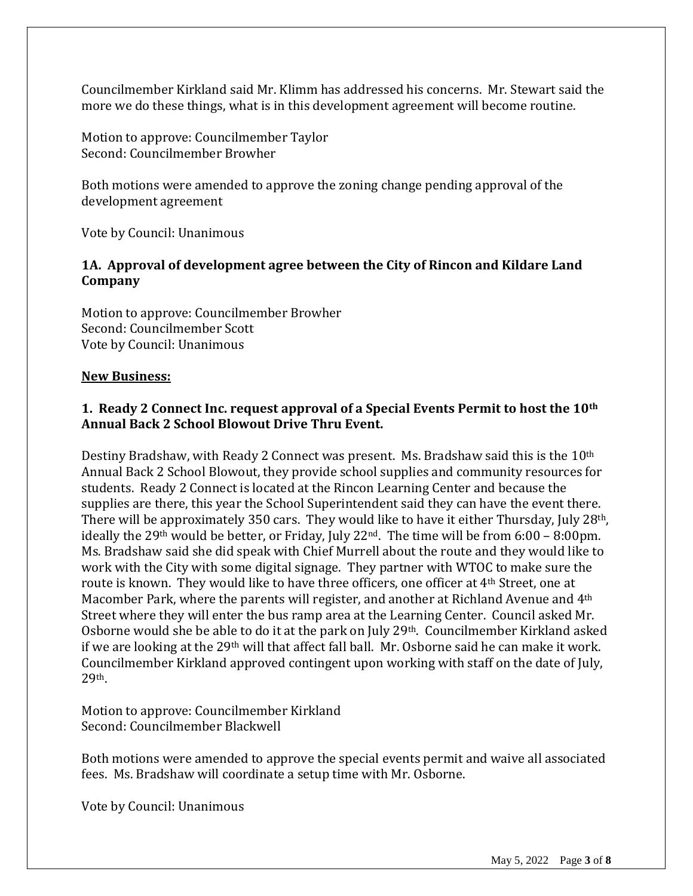Councilmember Kirkland said Mr. Klimm has addressed his concerns. Mr. Stewart said the more we do these things, what is in this development agreement will become routine.

Motion to approve: Councilmember Taylor Second: Councilmember Browher

Both motions were amended to approve the zoning change pending approval of the development agreement

Vote by Council: Unanimous

#### **1A. Approval of development agree between the City of Rincon and Kildare Land Company**

Motion to approve: Councilmember Browher Second: Councilmember Scott Vote by Council: Unanimous

#### **New Business:**

# **1. Ready 2 Connect Inc. request approval of a Special Events Permit to host the 10th Annual Back 2 School Blowout Drive Thru Event.**

Destiny Bradshaw, with Ready 2 Connect was present. Ms. Bradshaw said this is the 10<sup>th</sup> Annual Back 2 School Blowout, they provide school supplies and community resources for students. Ready 2 Connect is located at the Rincon Learning Center and because the supplies are there, this year the School Superintendent said they can have the event there. There will be approximately 350 cars. They would like to have it either Thursday, July 28<sup>th</sup>, ideally the 29<sup>th</sup> would be better, or Friday, July 22<sup>nd</sup>. The time will be from  $6:00 - 8:00$  pm. Ms. Bradshaw said she did speak with Chief Murrell about the route and they would like to work with the City with some digital signage. They partner with WTOC to make sure the route is known. They would like to have three officers, one officer at 4<sup>th</sup> Street, one at Macomber Park, where the parents will register, and another at Richland Avenue and 4th Street where they will enter the bus ramp area at the Learning Center. Council asked Mr. Osborne would she be able to do it at the park on July 29th. Councilmember Kirkland asked if we are looking at the 29th will that affect fall ball. Mr. Osborne said he can make it work. Councilmember Kirkland approved contingent upon working with staff on the date of July, 29th.

Motion to approve: Councilmember Kirkland Second: Councilmember Blackwell

Both motions were amended to approve the special events permit and waive all associated fees. Ms. Bradshaw will coordinate a setup time with Mr. Osborne.

Vote by Council: Unanimous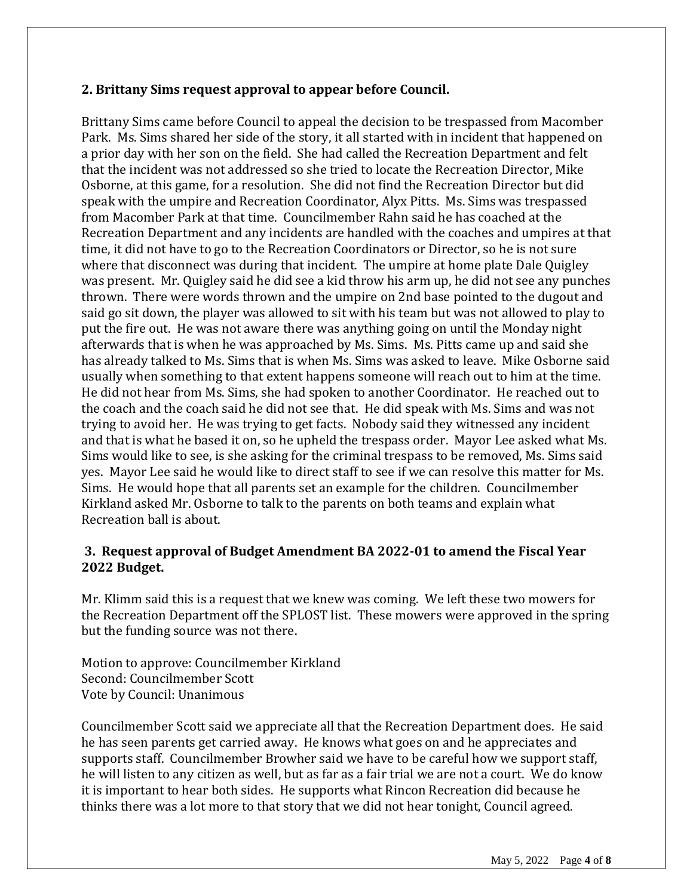# **2. Brittany Sims request approval to appear before Council.**

Brittany Sims came before Council to appeal the decision to be trespassed from Macomber Park. Ms. Sims shared her side of the story, it all started with in incident that happened on a prior day with her son on the field. She had called the Recreation Department and felt that the incident was not addressed so she tried to locate the Recreation Director, Mike Osborne, at this game, for a resolution. She did not find the Recreation Director but did speak with the umpire and Recreation Coordinator, Alyx Pitts. Ms. Sims was trespassed from Macomber Park at that time. Councilmember Rahn said he has coached at the Recreation Department and any incidents are handled with the coaches and umpires at that time, it did not have to go to the Recreation Coordinators or Director, so he is not sure where that disconnect was during that incident. The umpire at home plate Dale Quigley was present. Mr. Quigley said he did see a kid throw his arm up, he did not see any punches thrown. There were words thrown and the umpire on 2nd base pointed to the dugout and said go sit down, the player was allowed to sit with his team but was not allowed to play to put the fire out. He was not aware there was anything going on until the Monday night afterwards that is when he was approached by Ms. Sims. Ms. Pitts came up and said she has already talked to Ms. Sims that is when Ms. Sims was asked to leave. Mike Osborne said usually when something to that extent happens someone will reach out to him at the time. He did not hear from Ms. Sims, she had spoken to another Coordinator. He reached out to the coach and the coach said he did not see that. He did speak with Ms. Sims and was not trying to avoid her. He was trying to get facts. Nobody said they witnessed any incident and that is what he based it on, so he upheld the trespass order. Mayor Lee asked what Ms. Sims would like to see, is she asking for the criminal trespass to be removed, Ms. Sims said yes. Mayor Lee said he would like to direct staff to see if we can resolve this matter for Ms. Sims. He would hope that all parents set an example for the children. Councilmember Kirkland asked Mr. Osborne to talk to the parents on both teams and explain what Recreation ball is about.

# **3. Request approval of Budget Amendment BA 2022-01 to amend the Fiscal Year 2022 Budget.**

Mr. Klimm said this is a request that we knew was coming. We left these two mowers for the Recreation Department off the SPLOST list. These mowers were approved in the spring but the funding source was not there.

Motion to approve: Councilmember Kirkland Second: Councilmember Scott Vote by Council: Unanimous

Councilmember Scott said we appreciate all that the Recreation Department does. He said he has seen parents get carried away. He knows what goes on and he appreciates and supports staff. Councilmember Browher said we have to be careful how we support staff, he will listen to any citizen as well, but as far as a fair trial we are not a court. We do know it is important to hear both sides. He supports what Rincon Recreation did because he thinks there was a lot more to that story that we did not hear tonight, Council agreed.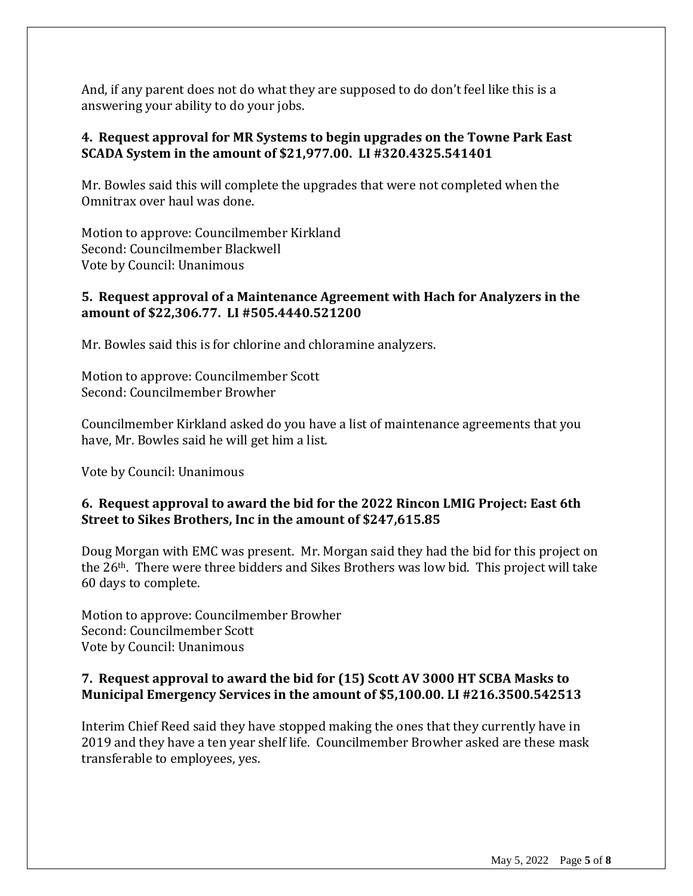And, if any parent does not do what they are supposed to do don't feel like this is a answering your ability to do your jobs.

#### **4. Request approval for MR Systems to begin upgrades on the Towne Park East SCADA System in the amount of \$21,977.00. LI #320.4325.541401**

Mr. Bowles said this will complete the upgrades that were not completed when the Omnitrax over haul was done.

Motion to approve: Councilmember Kirkland Second: Councilmember Blackwell Vote by Council: Unanimous

#### **5. Request approval of a Maintenance Agreement with Hach for Analyzers in the amount of \$22,306.77. LI #505.4440.521200**

Mr. Bowles said this is for chlorine and chloramine analyzers.

Motion to approve: Councilmember Scott Second: Councilmember Browher

Councilmember Kirkland asked do you have a list of maintenance agreements that you have, Mr. Bowles said he will get him a list.

Vote by Council: Unanimous

# **6. Request approval to award the bid for the 2022 Rincon LMIG Project: East 6th Street to Sikes Brothers, Inc in the amount of \$247,615.85**

Doug Morgan with EMC was present. Mr. Morgan said they had the bid for this project on the 26th. There were three bidders and Sikes Brothers was low bid. This project will take 60 days to complete.

Motion to approve: Councilmember Browher Second: Councilmember Scott Vote by Council: Unanimous

# **7. Request approval to award the bid for (15) Scott AV 3000 HT SCBA Masks to Municipal Emergency Services in the amount of \$5,100.00. LI #216.3500.542513**

Interim Chief Reed said they have stopped making the ones that they currently have in 2019 and they have a ten year shelf life. Councilmember Browher asked are these mask transferable to employees, yes.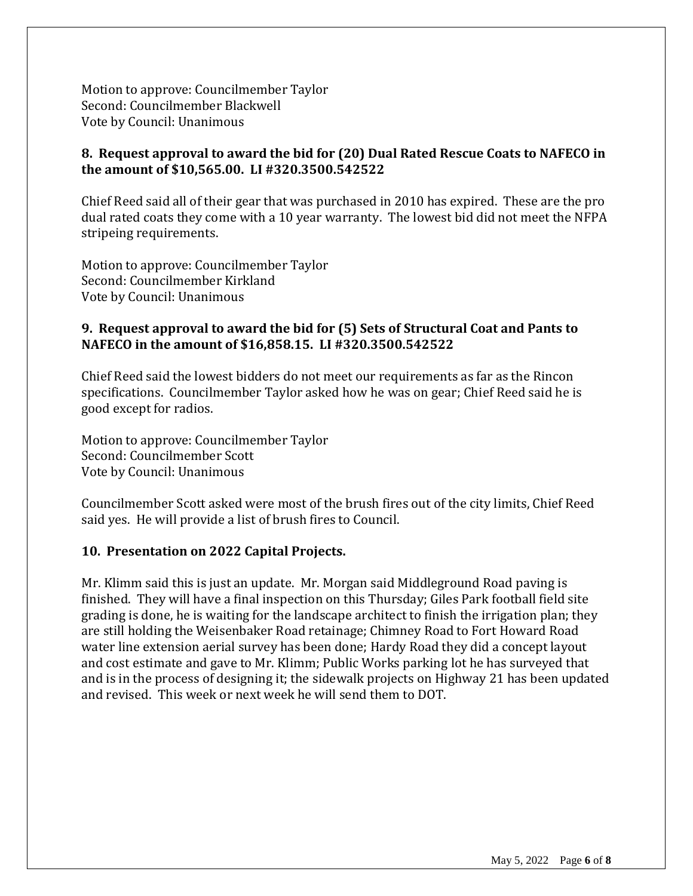Motion to approve: Councilmember Taylor Second: Councilmember Blackwell Vote by Council: Unanimous

# **8. Request approval to award the bid for (20) Dual Rated Rescue Coats to NAFECO in the amount of \$10,565.00. LI #320.3500.542522**

Chief Reed said all of their gear that was purchased in 2010 has expired. These are the pro dual rated coats they come with a 10 year warranty. The lowest bid did not meet the NFPA stripeing requirements.

Motion to approve: Councilmember Taylor Second: Councilmember Kirkland Vote by Council: Unanimous

#### **9. Request approval to award the bid for (5) Sets of Structural Coat and Pants to NAFECO in the amount of \$16,858.15. LI #320.3500.542522**

Chief Reed said the lowest bidders do not meet our requirements as far as the Rincon specifications. Councilmember Taylor asked how he was on gear; Chief Reed said he is good except for radios.

Motion to approve: Councilmember Taylor Second: Councilmember Scott Vote by Council: Unanimous

Councilmember Scott asked were most of the brush fires out of the city limits, Chief Reed said yes. He will provide a list of brush fires to Council.

#### **10. Presentation on 2022 Capital Projects.**

Mr. Klimm said this is just an update. Mr. Morgan said Middleground Road paving is finished. They will have a final inspection on this Thursday; Giles Park football field site grading is done, he is waiting for the landscape architect to finish the irrigation plan; they are still holding the Weisenbaker Road retainage; Chimney Road to Fort Howard Road water line extension aerial survey has been done; Hardy Road they did a concept layout and cost estimate and gave to Mr. Klimm; Public Works parking lot he has surveyed that and is in the process of designing it; the sidewalk projects on Highway 21 has been updated and revised. This week or next week he will send them to DOT.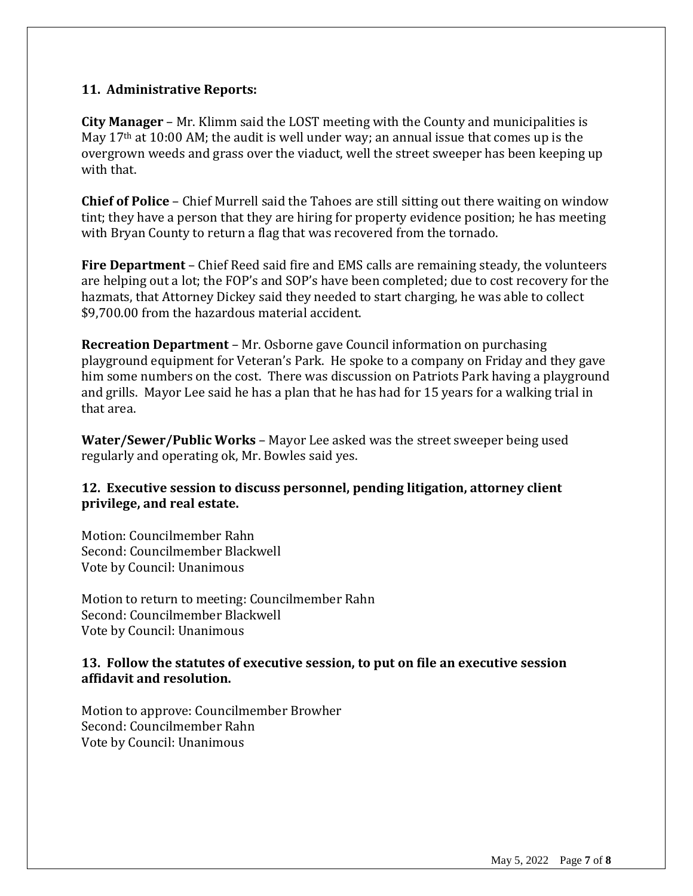#### **11. Administrative Reports:**

**City Manager** – Mr. Klimm said the LOST meeting with the County and municipalities is May  $17<sup>th</sup>$  at 10:00 AM; the audit is well under way; an annual issue that comes up is the overgrown weeds and grass over the viaduct, well the street sweeper has been keeping up with that.

**Chief of Police** – Chief Murrell said the Tahoes are still sitting out there waiting on window tint; they have a person that they are hiring for property evidence position; he has meeting with Bryan County to return a flag that was recovered from the tornado.

**Fire Department** – Chief Reed said fire and EMS calls are remaining steady, the volunteers are helping out a lot; the FOP's and SOP's have been completed; due to cost recovery for the hazmats, that Attorney Dickey said they needed to start charging, he was able to collect \$9,700.00 from the hazardous material accident.

**Recreation Department** – Mr. Osborne gave Council information on purchasing playground equipment for Veteran's Park. He spoke to a company on Friday and they gave him some numbers on the cost. There was discussion on Patriots Park having a playground and grills. Mayor Lee said he has a plan that he has had for 15 years for a walking trial in that area.

**Water/Sewer/Public Works** – Mayor Lee asked was the street sweeper being used regularly and operating ok, Mr. Bowles said yes.

# **12. Executive session to discuss personnel, pending litigation, attorney client privilege, and real estate.**

Motion: Councilmember Rahn Second: Councilmember Blackwell Vote by Council: Unanimous

Motion to return to meeting: Councilmember Rahn Second: Councilmember Blackwell Vote by Council: Unanimous

#### **13. Follow the statutes of executive session, to put on file an executive session affidavit and resolution.**

Motion to approve: Councilmember Browher Second: Councilmember Rahn Vote by Council: Unanimous